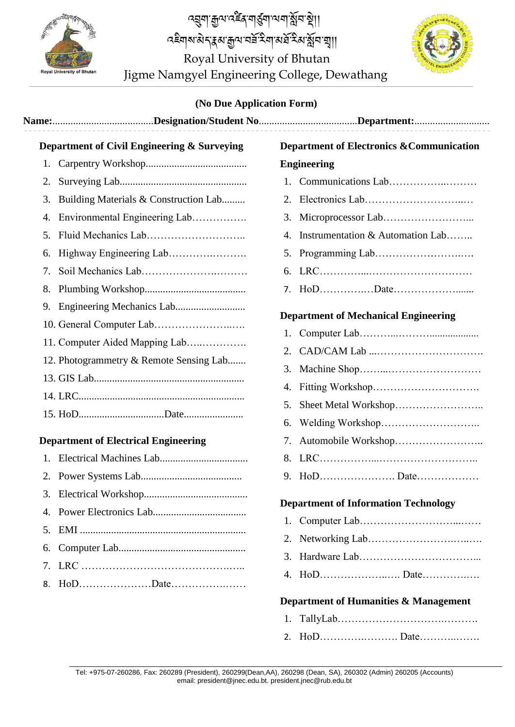

Jigme Namgyel Engineering College, Dewathang <u>ক্ষ্ণীৰ অৰ্থন হৈ অভিযোগ সমূহ ক</u>াৰ্য্য কৰি প্ৰয়োগ কৰি বিষয়া। <u>ব্</u>মুনা ক্ৰুন বৰ্হৰ নাৰ্থনা আৰু ষ্ট্ৰন ষ্ট্ৰা। Royal University of Bhutan



## **(No Due Application Form)**

|          | Department of Civil Engineering & Surveying | <b>Department of Electronics &amp; Communication</b> |
|----------|---------------------------------------------|------------------------------------------------------|
| 1.       |                                             | <b>Engineering</b>                                   |
| 2.       |                                             |                                                      |
| 3.       | Building Materials & Construction Lab       | 2.                                                   |
| 4.       | Environmental Engineering Lab               | 3.                                                   |
| 5.       |                                             | Instrumentation & Automation Lab<br>4.               |
| 6.       |                                             |                                                      |
| 7.       |                                             | 6.                                                   |
| 8.       |                                             |                                                      |
| 9.       | 11. Computer Aided Mapping Lab              | <b>Department of Mechanical Engineering</b><br>2.    |
|          | 12. Photogrammetry & Remote Sensing Lab     | 3.<br>4.<br>5.<br>6.                                 |
|          | <b>Department of Electrical Engineering</b> | 7.                                                   |
| 1.       |                                             | 8.                                                   |
| 2.       |                                             |                                                      |
| 3.       |                                             | <b>Department of Information Technology</b>          |
| 5.<br>6. |                                             | 3.                                                   |
| 7.<br>8. |                                             | Department of Humanities & Management                |

- 1. TallyLab………………………….……….
- 2. HoD………….………. Date………..…….